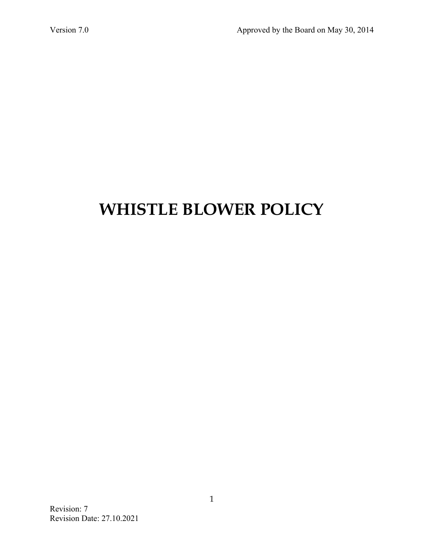# **WHISTLE BLOWER POLICY**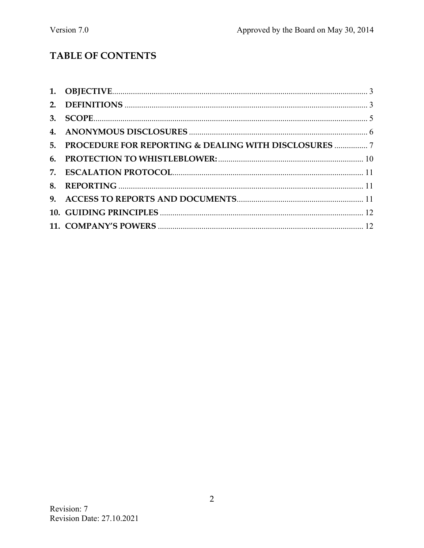# TABLE OF CONTENTS

| 5. PROCEDURE FOR REPORTING & DEALING WITH DISCLOSURES  7 |  |
|----------------------------------------------------------|--|
|                                                          |  |
|                                                          |  |
|                                                          |  |
|                                                          |  |
|                                                          |  |
|                                                          |  |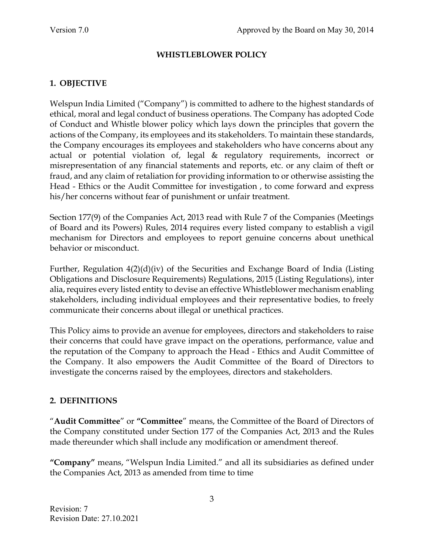#### **WHISTLEBLOWER POLICY**

## **1. OBJECTIVE**

Welspun India Limited ("Company") is committed to adhere to the highest standards of ethical, moral and legal conduct of business operations. The Company has adopted Code of Conduct and Whistle blower policy which lays down the principles that govern the actions of the Company, its employees and its stakeholders. To maintain these standards, the Company encourages its employees and stakeholders who have concerns about any actual or potential violation of, legal & regulatory requirements, incorrect or misrepresentation of any financial statements and reports, etc. or any claim of theft or fraud, and any claim of retaliation for providing information to or otherwise assisting the Head - Ethics or the Audit Committee for investigation , to come forward and express his/her concerns without fear of punishment or unfair treatment.

Section 177(9) of the Companies Act, 2013 read with Rule 7 of the Companies (Meetings of Board and its Powers) Rules, 2014 requires every listed company to establish a vigil mechanism for Directors and employees to report genuine concerns about unethical behavior or misconduct.

Further, Regulation 4(2)(d)(iv) of the Securities and Exchange Board of India (Listing Obligations and Disclosure Requirements) Regulations, 2015 (Listing Regulations), inter alia, requires every listed entity to devise an effective Whistleblower mechanism enabling stakeholders, including individual employees and their representative bodies, to freely communicate their concerns about illegal or unethical practices.

This Policy aims to provide an avenue for employees, directors and stakeholders to raise their concerns that could have grave impact on the operations, performance, value and the reputation of the Company to approach the Head - Ethics and Audit Committee of the Company. It also empowers the Audit Committee of the Board of Directors to investigate the concerns raised by the employees, directors and stakeholders.

## **2. DEFINITIONS**

"**Audit Committee**" or **"Committee**" means, the Committee of the Board of Directors of the Company constituted under Section 177 of the Companies Act, 2013 and the Rules made thereunder which shall include any modification or amendment thereof.

**"Company"** means, "Welspun India Limited." and all its subsidiaries as defined under the Companies Act, 2013 as amended from time to time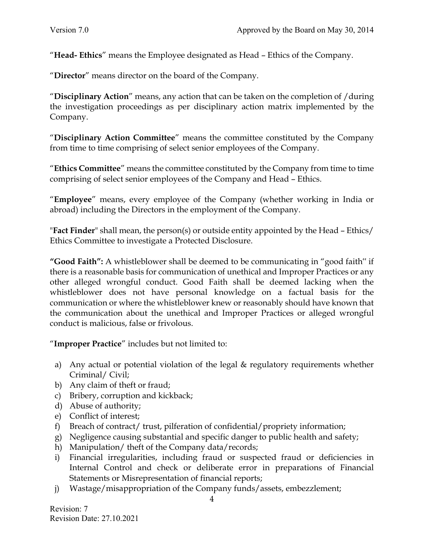"**Head- Ethics**" means the Employee designated as Head – Ethics of the Company.

"**Director**" means director on the board of the Company.

"**Disciplinary Action**" means, any action that can be taken on the completion of /during the investigation proceedings as per disciplinary action matrix implemented by the Company.

"**Disciplinary Action Committee**" means the committee constituted by the Company from time to time comprising of select senior employees of the Company.

"**Ethics Committee**" means the committee constituted by the Company from time to time comprising of select senior employees of the Company and Head – Ethics.

"**Employee**" means, every employee of the Company (whether working in India or abroad) including the Directors in the employment of the Company.

"**Fact Finder**" shall mean, the person(s) or outside entity appointed by the Head – Ethics/ Ethics Committee to investigate a Protected Disclosure.

**"Good Faith":** A whistleblower shall be deemed to be communicating in "good faith" if there is a reasonable basis for communication of unethical and Improper Practices or any other alleged wrongful conduct. Good Faith shall be deemed lacking when the whistleblower does not have personal knowledge on a factual basis for the communication or where the whistleblower knew or reasonably should have known that the communication about the unethical and Improper Practices or alleged wrongful conduct is malicious, false or frivolous.

"**Improper Practice**" includes but not limited to:

- a) Any actual or potential violation of the legal & regulatory requirements whether Criminal/ Civil;
- b) Any claim of theft or fraud;
- c) Bribery, corruption and kickback;
- d) Abuse of authority;
- e) Conflict of interest;
- f) Breach of contract/ trust, pilferation of confidential/propriety information;
- g) Negligence causing substantial and specific danger to public health and safety;
- h) Manipulation/ theft of the Company data/records;
- i) Financial irregularities, including fraud or suspected fraud or deficiencies in Internal Control and check or deliberate error in preparations of Financial Statements or Misrepresentation of financial reports;
- j) Wastage/misappropriation of the Company funds/assets, embezzlement;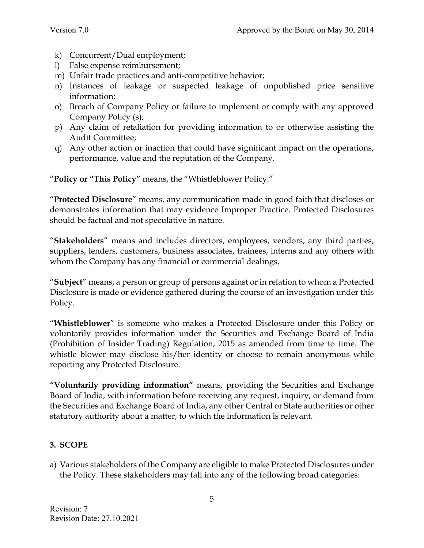- k) Concurrent/Dual employment;
- l) False expense reimbursement;
- m) Unfair trade practices and anti-competitive behavior;
- n) Instances of leakage or suspected leakage of unpublished price sensitive information;
- o) Breach of Company Policy or failure to implement or comply with any approved Company Policy (s);
- p) Any claim of retaliation for providing information to or otherwise assisting the Audit Committee;
- q) Any other action or inaction that could have significant impact on the operations, performance, value and the reputation of the Company.

"**Policy or "This Policy"** means, the "Whistleblower Policy."

"**Protected Disclosure**" means, any communication made in good faith that discloses or demonstrates information that may evidence Improper Practice. Protected Disclosures should be factual and not speculative in nature.

"**Stakeholders**" means and includes directors, employees, vendors, any third parties, suppliers, lenders, customers, business associates, trainees, interns and any others with whom the Company has any financial or commercial dealings.

"**Subject**" means, a person or group of persons against or in relation to whom a Protected Disclosure is made or evidence gathered during the course of an investigation under this Policy.

"**Whistleblower**" is someone who makes a Protected Disclosure under this Policy or voluntarily provides information under the Securities and Exchange Board of India (Prohibition of Insider Trading) Regulation, 2015 as amended from time to time. The whistle blower may disclose his/her identity or choose to remain anonymous while reporting any Protected Disclosure.

**"Voluntarily providing information"** means, providing the Securities and Exchange Board of India, with information before receiving any request, inquiry, or demand from the Securities and Exchange Board of India, any other Central or State authorities or other statutory authority about a matter, to which the information is relevant.

## **3. SCOPE**

a) Various stakeholders of the Company are eligible to make Protected Disclosures under the Policy. These stakeholders may fall into any of the following broad categories: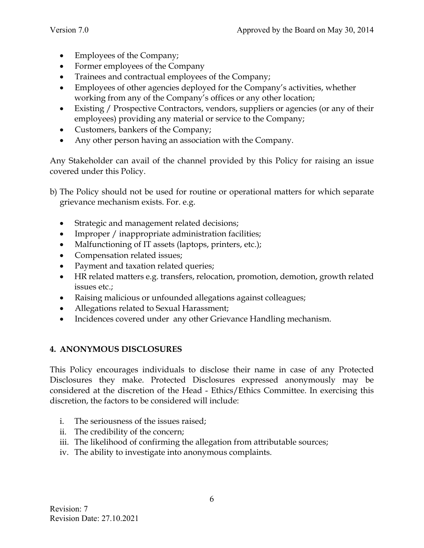- Employees of the Company;
- Former employees of the Company
- Trainees and contractual employees of the Company;
- Employees of other agencies deployed for the Company's activities, whether working from any of the Company's offices or any other location;
- Existing / Prospective Contractors, vendors, suppliers or agencies (or any of their employees) providing any material or service to the Company;
- Customers, bankers of the Company;
- Any other person having an association with the Company.

Any Stakeholder can avail of the channel provided by this Policy for raising an issue covered under this Policy.

- b) The Policy should not be used for routine or operational matters for which separate grievance mechanism exists. For. e.g.
	- Strategic and management related decisions;
	- Improper / inappropriate administration facilities;
	- Malfunctioning of IT assets (laptops, printers, etc.);
	- Compensation related issues;
	- Payment and taxation related queries;
	- HR related matters e.g. transfers, relocation, promotion, demotion, growth related issues etc.;
	- Raising malicious or unfounded allegations against colleagues;
	- Allegations related to Sexual Harassment;
	- Incidences covered under any other Grievance Handling mechanism.

## **4. ANONYMOUS DISCLOSURES**

This Policy encourages individuals to disclose their name in case of any Protected Disclosures they make. Protected Disclosures expressed anonymously may be considered at the discretion of the Head - Ethics/Ethics Committee. In exercising this discretion, the factors to be considered will include:

- i. The seriousness of the issues raised;
- ii. The credibility of the concern;
- iii. The likelihood of confirming the allegation from attributable sources;
- iv. The ability to investigate into anonymous complaints.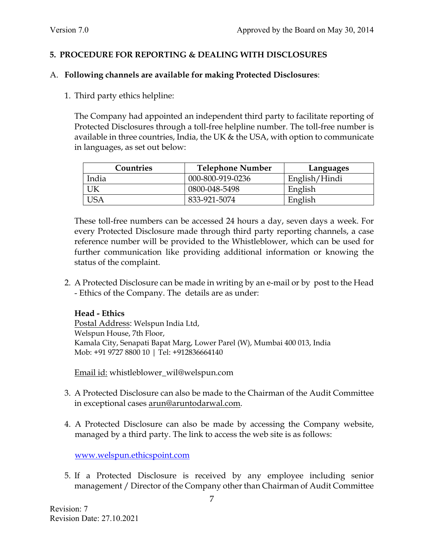#### **5. PROCEDURE FOR REPORTING & DEALING WITH DISCLOSURES**

#### A. **Following channels are available for making Protected Disclosures**:

1. Third party ethics helpline:

The Company had appointed an independent third party to facilitate reporting of Protected Disclosures through a toll-free helpline number. The toll-free number is available in three countries, India, the UK & the USA, with option to communicate in languages, as set out below:

| Countries | <b>Telephone Number</b> | Languages     |
|-----------|-------------------------|---------------|
| India     | 000-800-919-0236        | English/Hindi |
|           | 0800-048-5498           | English       |
|           | 833-921-5074            | English       |

These toll-free numbers can be accessed 24 hours a day, seven days a week. For every Protected Disclosure made through third party reporting channels, a case reference number will be provided to the Whistleblower, which can be used for further communication like providing additional information or knowing the status of the complaint.

2. A Protected Disclosure can be made in writing by an e-mail or by post to the Head - Ethics of the Company. The details are as under:

#### **Head - Ethics**

Postal Address: Welspun India Ltd, Welspun House, 7th Floor, Kamala City, Senapati Bapat Marg, Lower Parel (W), Mumbai 400 013, India Mob: +91 9727 8800 10 | Tel: +912836664140

Email id: whistleblower\_wil@welspun.com

- 3. A Protected Disclosure can also be made to the Chairman of the Audit Committee in exceptional cases arun@aruntodarwal.com.
- 4. A Protected Disclosure can also be made by accessing the Company website, managed by a third party. The link to access the web site is as follows:

www.welspun.ethicspoint.com

5. If a Protected Disclosure is received by any employee including senior management / Director of the Company other than Chairman of Audit Committee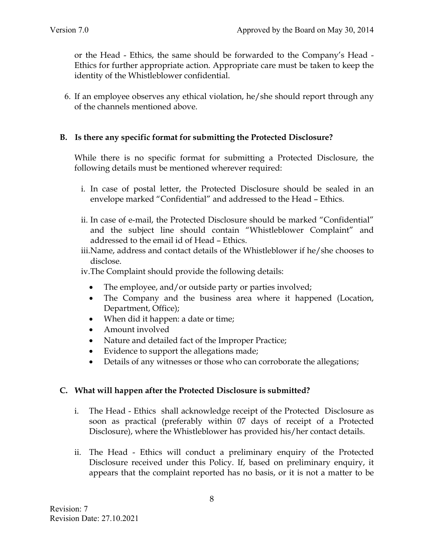or the Head - Ethics, the same should be forwarded to the Company's Head - Ethics for further appropriate action. Appropriate care must be taken to keep the identity of the Whistleblower confidential.

6. If an employee observes any ethical violation, he/she should report through any of the channels mentioned above.

#### **B. Is there any specific format for submitting the Protected Disclosure?**

While there is no specific format for submitting a Protected Disclosure, the following details must be mentioned wherever required:

- i. In case of postal letter, the Protected Disclosure should be sealed in an envelope marked "Confidential" and addressed to the Head – Ethics.
- ii. In case of e-mail, the Protected Disclosure should be marked "Confidential" and the subject line should contain "Whistleblower Complaint" and addressed to the email id of Head – Ethics.
- iii.Name, address and contact details of the Whistleblower if he/she chooses to disclose.

iv.The Complaint should provide the following details:

- The employee, and/or outside party or parties involved;
- The Company and the business area where it happened (Location, Department, Office);
- When did it happen: a date or time;
- Amount involved
- Nature and detailed fact of the Improper Practice;
- Evidence to support the allegations made;
- Details of any witnesses or those who can corroborate the allegations;

## **C. What will happen after the Protected Disclosure is submitted?**

- i. The Head Ethics shall acknowledge receipt of the Protected Disclosure as soon as practical (preferably within 07 days of receipt of a Protected Disclosure), where the Whistleblower has provided his/her contact details.
- ii. The Head Ethics will conduct a preliminary enquiry of the Protected Disclosure received under this Policy. If, based on preliminary enquiry, it appears that the complaint reported has no basis, or it is not a matter to be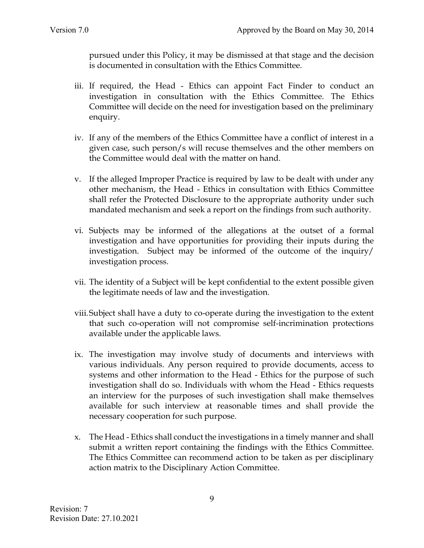pursued under this Policy, it may be dismissed at that stage and the decision is documented in consultation with the Ethics Committee.

- iii. If required, the Head Ethics can appoint Fact Finder to conduct an investigation in consultation with the Ethics Committee. The Ethics Committee will decide on the need for investigation based on the preliminary enquiry.
- iv. If any of the members of the Ethics Committee have a conflict of interest in a given case, such person/s will recuse themselves and the other members on the Committee would deal with the matter on hand.
- v. If the alleged Improper Practice is required by law to be dealt with under any other mechanism, the Head - Ethics in consultation with Ethics Committee shall refer the Protected Disclosure to the appropriate authority under such mandated mechanism and seek a report on the findings from such authority.
- vi. Subjects may be informed of the allegations at the outset of a formal investigation and have opportunities for providing their inputs during the investigation. Subject may be informed of the outcome of the inquiry/ investigation process.
- vii. The identity of a Subject will be kept confidential to the extent possible given the legitimate needs of law and the investigation.
- viii.Subject shall have a duty to co-operate during the investigation to the extent that such co-operation will not compromise self-incrimination protections available under the applicable laws.
- ix. The investigation may involve study of documents and interviews with various individuals. Any person required to provide documents, access to systems and other information to the Head - Ethics for the purpose of such investigation shall do so. Individuals with whom the Head - Ethics requests an interview for the purposes of such investigation shall make themselves available for such interview at reasonable times and shall provide the necessary cooperation for such purpose.
- x. The Head Ethics shall conduct the investigations in a timely manner and shall submit a written report containing the findings with the Ethics Committee. The Ethics Committee can recommend action to be taken as per disciplinary action matrix to the Disciplinary Action Committee.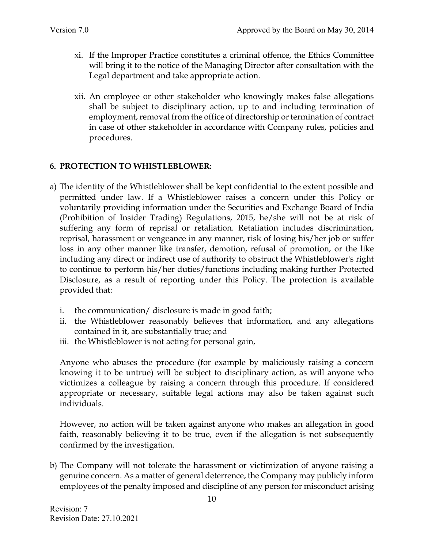- xi. If the Improper Practice constitutes a criminal offence, the Ethics Committee will bring it to the notice of the Managing Director after consultation with the Legal department and take appropriate action.
- xii. An employee or other stakeholder who knowingly makes false allegations shall be subject to disciplinary action, up to and including termination of employment, removal from the office of directorship or termination of contract in case of other stakeholder in accordance with Company rules, policies and procedures.

#### **6. PROTECTION TO WHISTLEBLOWER:**

- a) The identity of the Whistleblower shall be kept confidential to the extent possible and permitted under law. If a Whistleblower raises a concern under this Policy or voluntarily providing information under the Securities and Exchange Board of India (Prohibition of Insider Trading) Regulations, 2015, he/she will not be at risk of suffering any form of reprisal or retaliation. Retaliation includes discrimination, reprisal, harassment or vengeance in any manner, risk of losing his/her job or suffer loss in any other manner like transfer, demotion, refusal of promotion, or the like including any direct or indirect use of authority to obstruct the Whistleblower's right to continue to perform his/her duties/functions including making further Protected Disclosure, as a result of reporting under this Policy. The protection is available provided that:
	- i. the communication/ disclosure is made in good faith;
	- ii. the Whistleblower reasonably believes that information, and any allegations contained in it, are substantially true; and
	- iii. the Whistleblower is not acting for personal gain,

Anyone who abuses the procedure (for example by maliciously raising a concern knowing it to be untrue) will be subject to disciplinary action, as will anyone who victimizes a colleague by raising a concern through this procedure. If considered appropriate or necessary, suitable legal actions may also be taken against such individuals.

However, no action will be taken against anyone who makes an allegation in good faith, reasonably believing it to be true, even if the allegation is not subsequently confirmed by the investigation.

b) The Company will not tolerate the harassment or victimization of anyone raising a genuine concern. As a matter of general deterrence, the Company may publicly inform employees of the penalty imposed and discipline of any person for misconduct arising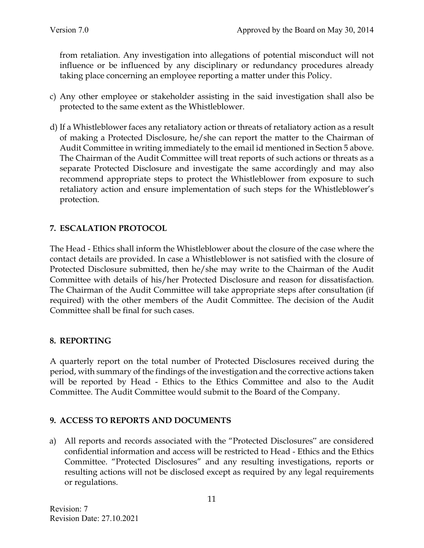from retaliation. Any investigation into allegations of potential misconduct will not influence or be influenced by any disciplinary or redundancy procedures already taking place concerning an employee reporting a matter under this Policy.

- c) Any other employee or stakeholder assisting in the said investigation shall also be protected to the same extent as the Whistleblower.
- d) If a Whistleblower faces any retaliatory action or threats of retaliatory action as a result of making a Protected Disclosure, he/she can report the matter to the Chairman of Audit Committee in writing immediately to the email id mentioned in Section 5 above. The Chairman of the Audit Committee will treat reports of such actions or threats as a separate Protected Disclosure and investigate the same accordingly and may also recommend appropriate steps to protect the Whistleblower from exposure to such retaliatory action and ensure implementation of such steps for the Whistleblower's protection.

## **7. ESCALATION PROTOCOL**

The Head - Ethics shall inform the Whistleblower about the closure of the case where the contact details are provided. In case a Whistleblower is not satisfied with the closure of Protected Disclosure submitted, then he/she may write to the Chairman of the Audit Committee with details of his/her Protected Disclosure and reason for dissatisfaction. The Chairman of the Audit Committee will take appropriate steps after consultation (if required) with the other members of the Audit Committee. The decision of the Audit Committee shall be final for such cases.

#### **8. REPORTING**

A quarterly report on the total number of Protected Disclosures received during the period, with summary of the findings of the investigation and the corrective actions taken will be reported by Head - Ethics to the Ethics Committee and also to the Audit Committee. The Audit Committee would submit to the Board of the Company.

## **9. ACCESS TO REPORTS AND DOCUMENTS**

a) All reports and records associated with the "Protected Disclosures" are considered confidential information and access will be restricted to Head - Ethics and the Ethics Committee. "Protected Disclosures" and any resulting investigations, reports or resulting actions will not be disclosed except as required by any legal requirements or regulations.